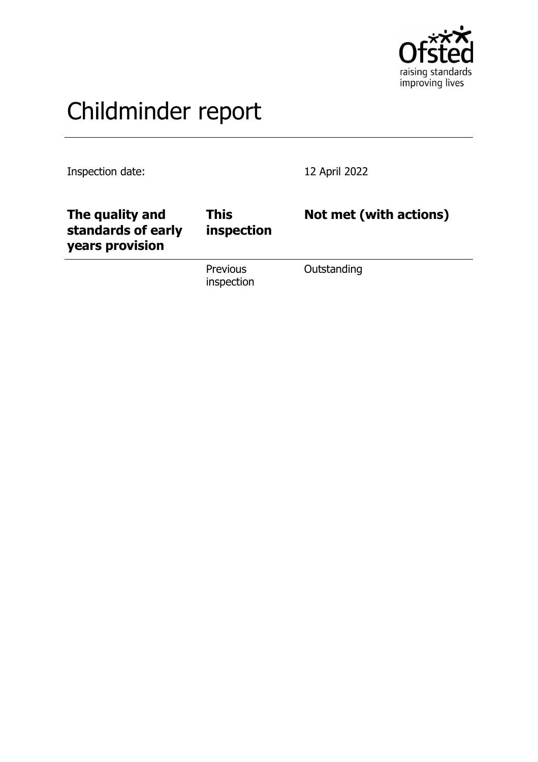

# Childminder report

Inspection date: 12 April 2022

| The quality and<br>standards of early<br>years provision | This<br>inspection            | Not met (with actions) |
|----------------------------------------------------------|-------------------------------|------------------------|
|                                                          | <b>Previous</b><br>inspection | Outstanding            |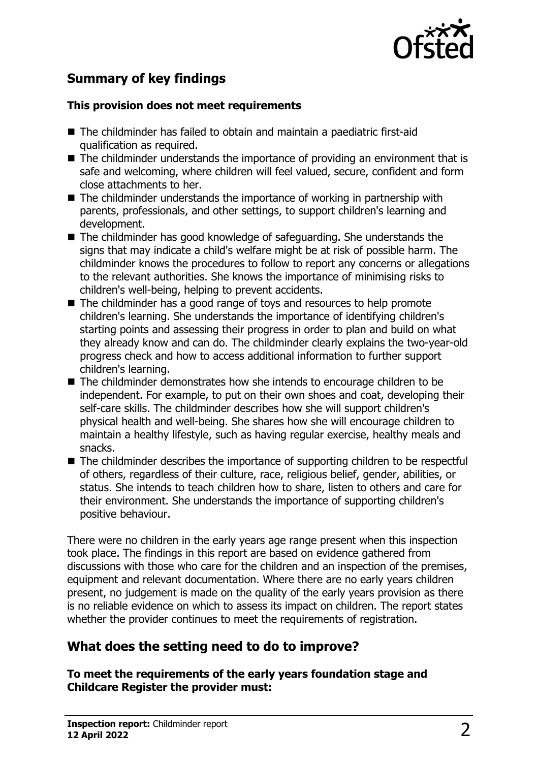

# **Summary of key findings**

#### **This provision does not meet requirements**

- $\blacksquare$  The childminder has failed to obtain and maintain a paediatric first-aid qualification as required.
- $\blacksquare$  The childminder understands the importance of providing an environment that is safe and welcoming, where children will feel valued, secure, confident and form close attachments to her.
- $\blacksquare$  The childminder understands the importance of working in partnership with parents, professionals, and other settings, to support children's learning and development.
- $\blacksquare$  The childminder has good knowledge of safeguarding. She understands the signs that may indicate a child's welfare might be at risk of possible harm. The childminder knows the procedures to follow to report any concerns or allegations to the relevant authorities. She knows the importance of minimising risks to children's well-being, helping to prevent accidents.
- $\blacksquare$  The childminder has a good range of toys and resources to help promote children's learning. She understands the importance of identifying children's starting points and assessing their progress in order to plan and build on what they already know and can do. The childminder clearly explains the two-year-old progress check and how to access additional information to further support children's learning.
- The childminder demonstrates how she intends to encourage children to be independent. For example, to put on their own shoes and coat, developing their self-care skills. The childminder describes how she will support children's physical health and well-being. She shares how she will encourage children to maintain a healthy lifestyle, such as having regular exercise, healthy meals and snacks.
- $\blacksquare$  The childminder describes the importance of supporting children to be respectful of others, regardless of their culture, race, religious belief, gender, abilities, or status. She intends to teach children how to share, listen to others and care for their environment. She understands the importance of supporting children's positive behaviour.

There were no children in the early years age range present when this inspection took place. The findings in this report are based on evidence gathered from discussions with those who care for the children and an inspection of the premises, equipment and relevant documentation. Where there are no early years children present, no judgement is made on the quality of the early years provision as there is no reliable evidence on which to assess its impact on children. The report states whether the provider continues to meet the requirements of registration.

## **What does the setting need to do to improve?**

**To meet the requirements of the early years foundation stage and Childcare Register the provider must:**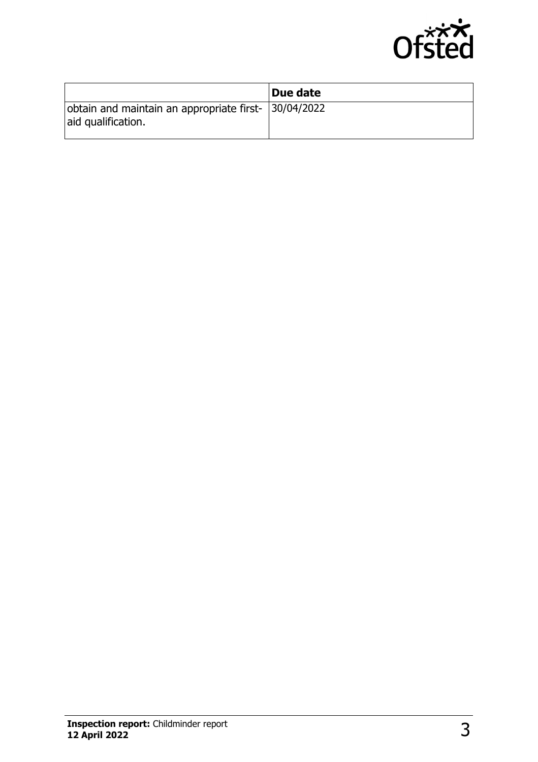

|                                                                            | Due date |
|----------------------------------------------------------------------------|----------|
| obtain and maintain an appropriate first- 30/04/2022<br>aid qualification. |          |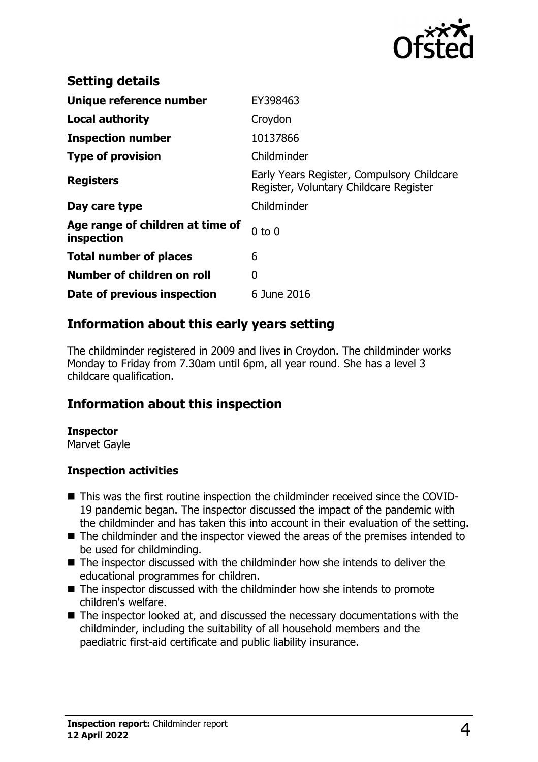

| <b>Setting details</b>                         |                                                                                      |
|------------------------------------------------|--------------------------------------------------------------------------------------|
| Unique reference number                        | EY398463                                                                             |
| <b>Local authority</b>                         | Croydon                                                                              |
| <b>Inspection number</b>                       | 10137866                                                                             |
| <b>Type of provision</b>                       | Childminder                                                                          |
| <b>Registers</b>                               | Early Years Register, Compulsory Childcare<br>Register, Voluntary Childcare Register |
| Day care type                                  | Childminder                                                                          |
| Age range of children at time of<br>inspection | $0$ to $0$                                                                           |
| <b>Total number of places</b>                  | 6                                                                                    |
| Number of children on roll                     | 0                                                                                    |
| Date of previous inspection                    | 6 June 2016                                                                          |

### **Information about this early years setting**

The childminder registered in 2009 and lives in Croydon. The childminder works Monday to Friday from 7.30am until 6pm, all year round. She has a level 3 childcare qualification.

### **Information about this inspection**

#### **Inspector**

Marvet Gayle

#### **Inspection activities**

- This was the first routine inspection the childminder received since the COVID-19 pandemic began. The inspector discussed the impact of the pandemic with the childminder and has taken this into account in their evaluation of the setting.
- $\blacksquare$  The childminder and the inspector viewed the areas of the premises intended to be used for childminding.
- $\blacksquare$  The inspector discussed with the childminder how she intends to deliver the educational programmes for children.
- $\blacksquare$  The inspector discussed with the childminder how she intends to promote children's welfare.
- $\blacksquare$  The inspector looked at, and discussed the necessary documentations with the childminder, including the suitability of all household members and the paediatric first-aid certificate and public liability insurance.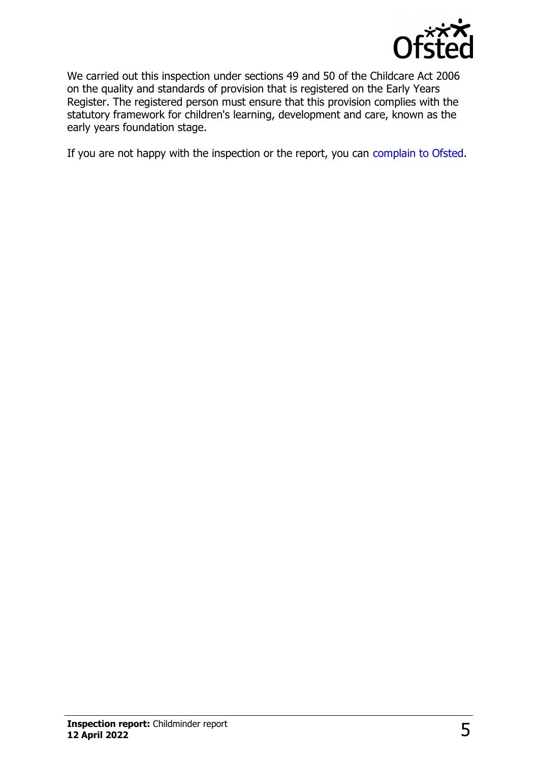

We carried out this inspection under sections 49 and 50 of the Childcare Act 2006 on the quality and standards of provision that is registered on the Early Years Register. The registered person must ensure that this provision complies with the statutory framework for children's learning, development and care, known as the early years foundation stage.

If you are not happy with the inspection or the report, you can [complain to Ofsted](http://www.gov.uk/complain-ofsted-report).